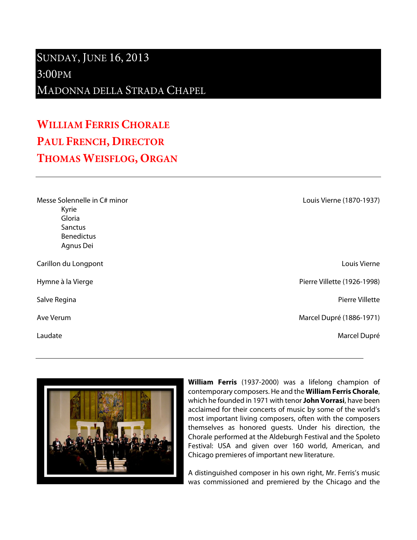## SUNDAY, JUNE 16, 2013 3:00PM

MADONNA DELLA STRADA CHAPEL

## **WILLIAM FERRIS CHORALE PAUL FRENCH, DIRECTOR THOMAS WEISFLOG, ORGAN**

| Messe Solennelle in C# minor |
|------------------------------|
| Kyrie                        |
| Gloria                       |
| Sanctus                      |
| <b>Benedictus</b>            |
| Agnus Dei                    |
|                              |

Carillon du Longpont Louis Vierne



Hymne à la Vierge Pierre Villette (1926-1998)

Salve Regina Pierre Villette

Ave Verum **Marcel Dupré (1886-1971)** 

Laudate d'Albert de la commune de la commune de la commune de la commune de la commune de la commune de la comm



**William Ferris** (1937-2000) was a lifelong champion of contemporary composers. He and the **William Ferris Chorale**, which he founded in 1971 with tenor **John Vorrasi**, have been acclaimed for their concerts of music by some of the world's most important living composers, often with the composers themselves as honored guests. Under his direction, the Chorale performed at the Aldeburgh Festival and the Spoleto Festival: USA and given over 160 world, American, and Chicago premieres of important new literature.

A distinguished composer in his own right, Mr. Ferris's music was commissioned and premiered by the Chicago and the